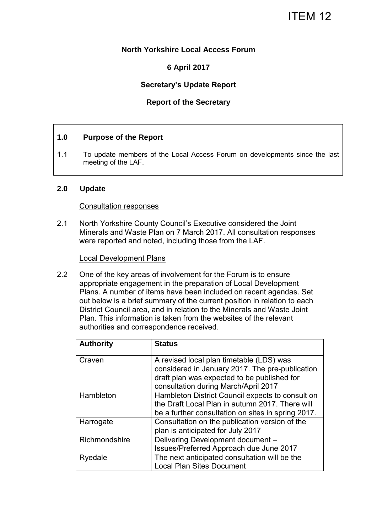# ITEM 12

# **North Yorkshire Local Access Forum**

# **6 April 2017**

# **Secretary's Update Report**

# **Report of the Secretary**

#### **1.0 Purpose of the Report**

1.1 To update members of the Local Access Forum on developments since the last meeting of the LAF.

#### **2.0 Update**

#### Consultation responses

2.1 North Yorkshire County Council's Executive considered the Joint Minerals and Waste Plan on 7 March 2017. All consultation responses were reported and noted, including those from the LAF.

#### Local Development Plans

2.2 One of the key areas of involvement for the Forum is to ensure appropriate engagement in the preparation of Local Development Plans. A number of items have been included on recent agendas. Set out below is a brief summary of the current position in relation to each District Council area, and in relation to the Minerals and Waste Joint Plan. This information is taken from the websites of the relevant authorities and correspondence received.

| <b>Authority</b> | <b>Status</b>                                                                                  |
|------------------|------------------------------------------------------------------------------------------------|
| Craven           | A revised local plan timetable (LDS) was                                                       |
|                  | considered in January 2017. The pre-publication<br>draft plan was expected to be published for |
|                  | consultation during March/April 2017                                                           |
| Hambleton        | Hambleton District Council expects to consult on                                               |
|                  | the Draft Local Plan in autumn 2017. There will                                                |
|                  | be a further consultation on sites in spring 2017.                                             |
| Harrogate        | Consultation on the publication version of the                                                 |
|                  | plan is anticipated for July 2017                                                              |
| Richmondshire    | Delivering Development document -                                                              |
|                  | Issues/Preferred Approach due June 2017                                                        |
| Ryedale          | The next anticipated consultation will be the                                                  |
|                  | <b>Local Plan Sites Document</b>                                                               |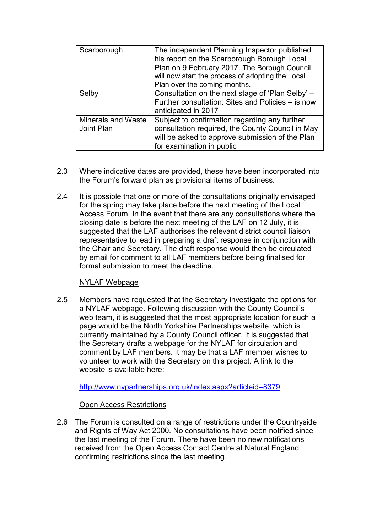| Scarborough                      | The independent Planning Inspector published<br>his report on the Scarborough Borough Local<br>Plan on 9 February 2017. The Borough Council<br>will now start the process of adopting the Local |
|----------------------------------|-------------------------------------------------------------------------------------------------------------------------------------------------------------------------------------------------|
| Selby                            | Plan over the coming months.<br>Consultation on the next stage of 'Plan Selby' -<br>Further consultation: Sites and Policies – is now                                                           |
|                                  | anticipated in 2017                                                                                                                                                                             |
| Minerals and Waste<br>Joint Plan | Subject to confirmation regarding any further<br>consultation required, the County Council in May<br>will be asked to approve submission of the Plan<br>for examination in public               |

- 2.3 Where indicative dates are provided, these have been incorporated into the Forum's forward plan as provisional items of business.
- 2.4 It is possible that one or more of the consultations originally envisaged for the spring may take place before the next meeting of the Local Access Forum. In the event that there are any consultations where the closing date is before the next meeting of the LAF on 12 July, it is suggested that the LAF authorises the relevant district council liaison representative to lead in preparing a draft response in conjunction with the Chair and Secretary. The draft response would then be circulated by email for comment to all LAF members before being finalised for formal submission to meet the deadline.

## NYLAF Webpage

2.5 Members have requested that the Secretary investigate the options for a NYLAF webpage. Following discussion with the County Council's web team, it is suggested that the most appropriate location for such a page would be the North Yorkshire Partnerships website, which is currently maintained by a County Council officer. It is suggested that the Secretary drafts a webpage for the NYLAF for circulation and comment by LAF members. It may be that a LAF member wishes to volunteer to work with the Secretary on this project. A link to the website is available here:

<http://www.nypartnerships.org.uk/index.aspx?articleid=8379>

# Open Access Restrictions

2.6 The Forum is consulted on a range of restrictions under the Countryside and Rights of Way Act 2000. No consultations have been notified since the last meeting of the Forum. There have been no new notifications received from the Open Access Contact Centre at Natural England confirming restrictions since the last meeting.